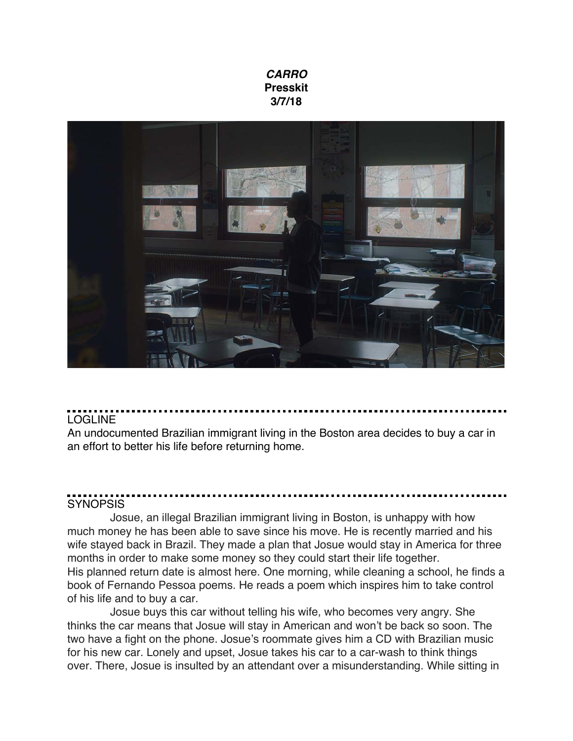#### *CARRO* **Presskit 3/7/18**



### LOGLINE

An undocumented Brazilian immigrant living in the Boston area decides to buy a car in an effort to better his life before returning home.

# **SYNOPSIS**

Josue, an illegal Brazilian immigrant living in Boston, is unhappy with how much money he has been able to save since his move. He is recently married and his wife stayed back in Brazil. They made a plan that Josue would stay in America for three months in order to make some money so they could start their life together. His planned return date is almost here. One morning, while cleaning a school, he finds a book of Fernando Pessoa poems. He reads a poem which inspires him to take control of his life and to buy a car.

Josue buys this car without telling his wife, who becomes very angry. She thinks the car means that Josue will stay in American and won't be back so soon. The two have a fight on the phone. Josue's roommate gives him a CD with Brazilian music for his new car. Lonely and upset, Josue takes his car to a car-wash to think things over. There, Josue is insulted by an attendant over a misunderstanding. While sitting in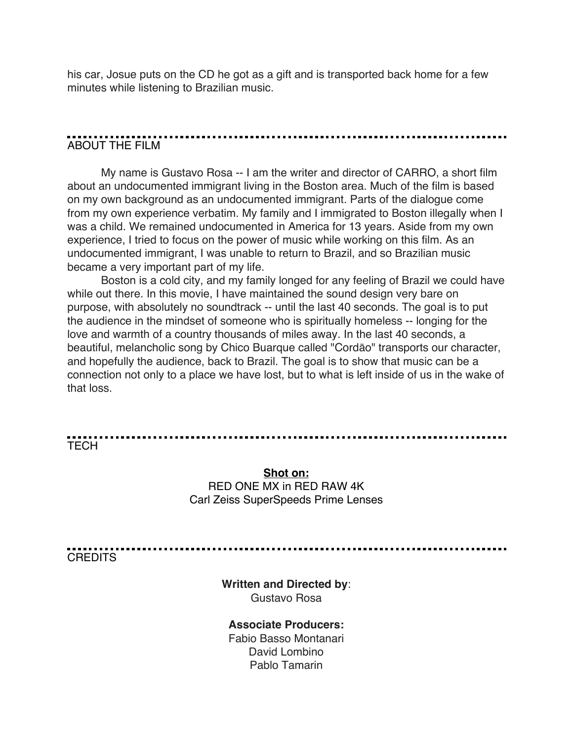his car, Josue puts on the CD he got as a gift and is transported back home for a few minutes while listening to Brazilian music.

## ABOUT THE FILM

My name is Gustavo Rosa -- I am the writer and director of CARRO, a short film about an undocumented immigrant living in the Boston area. Much of the film is based on my own background as an undocumented immigrant. Parts of the dialogue come from my own experience verbatim. My family and I immigrated to Boston illegally when I was a child. We remained undocumented in America for 13 years. Aside from my own experience, I tried to focus on the power of music while working on this film. As an undocumented immigrant, I was unable to return to Brazil, and so Brazilian music became a very important part of my life.

Boston is a cold city, and my family longed for any feeling of Brazil we could have while out there. In this movie, I have maintained the sound design very bare on purpose, with absolutely no soundtrack -- until the last 40 seconds. The goal is to put the audience in the mindset of someone who is spiritually homeless -- longing for the love and warmth of a country thousands of miles away. In the last 40 seconds, a beautiful, melancholic song by Chico Buarque called "Cordāo" transports our character, and hopefully the audience, back to Brazil. The goal is to show that music can be a connection not only to a place we have lost, but to what is left inside of us in the wake of that loss.

TECH

#### **Shot on:** RED ONE MX in RED RAW 4K Carl Zeiss SuperSpeeds Prime Lenses

**CREDITS** 

**Written and Directed by**: Gustavo Rosa

#### **Associate Producers:**

Fabio Basso Montanari David Lombino Pablo Tamarin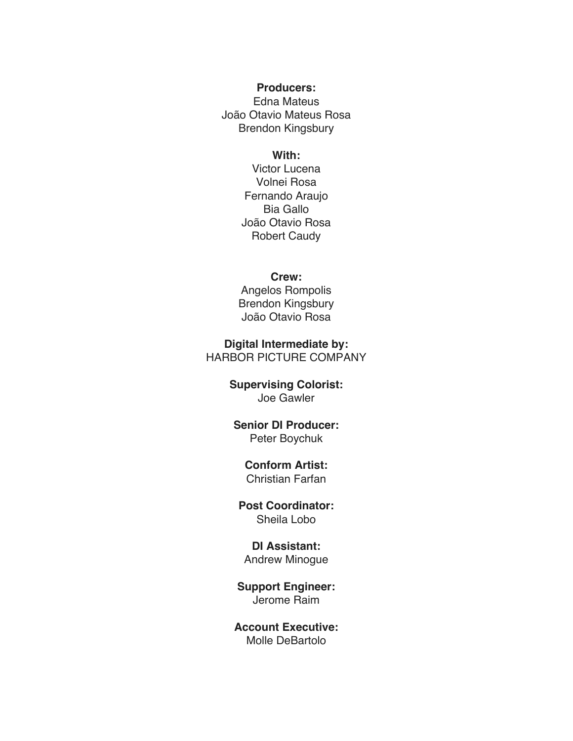#### **Producers:**

Edna Mateus João Otavio Mateus Rosa Brendon Kingsbury

#### **With:**

Victor Lucena Volnei Rosa Fernando Araujo Bia Gallo João Otavio Rosa Robert Caudy

#### **Crew:**

Angelos Rompolis Brendon Kingsbury João Otavio Rosa

**Digital Intermediate by:** HARBOR PICTURE COMPANY

#### **Supervising Colorist:** Joe Gawler

#### **Senior DI Producer:** Peter Boychuk

### **Conform Artist:**

Christian Farfan

#### **Post Coordinator:** Sheila Lobo

#### **DI Assistant:** Andrew Minogue

#### **Support Engineer:** Jerome Raim

#### **Account Executive:** Molle DeBartolo